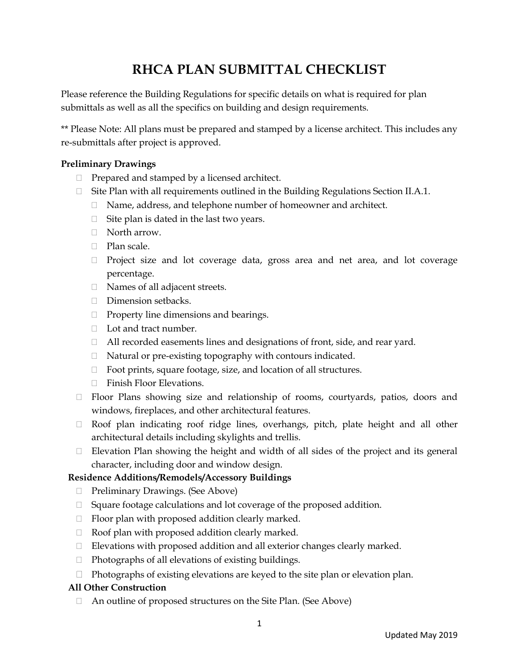# **RHCA PLAN SUBMITTAL CHECKLIST**

Please reference the Building Regulations for specific details on what is required for plan submittals as well as all the specifics on building and design requirements.

\*\* Please Note: All plans must be prepared and stamped by a license architect. This includes any re-submittals after project is approved.

## **Preliminary Drawings**

- $\Box$  Prepared and stamped by a licensed architect.
- □ Site Plan with all requirements outlined in the Building Regulations Section II.A.1.
	- □ Name, address, and telephone number of homeowner and architect.
	- $\Box$  Site plan is dated in the last two years.
	- North arrow.
	- □ Plan scale.
	- $\Box$  Project size and lot coverage data, gross area and net area, and lot coverage percentage.
	- □ Names of all adjacent streets.
	- Dimension setbacks.
	- $\Box$  Property line dimensions and bearings.
	- □ Lot and tract number.
	- All recorded easements lines and designations of front, side, and rear yard.
	- Natural or pre-existing topography with contours indicated.
	- $\Box$  Foot prints, square footage, size, and location of all structures.
	- $\Box$  Finish Floor Elevations.
- $\Box$  Floor Plans showing size and relationship of rooms, courtyards, patios, doors and windows, fireplaces, and other architectural features.
- Roof plan indicating roof ridge lines, overhangs, pitch, plate height and all other architectural details including skylights and trellis.
- $\Box$  Elevation Plan showing the height and width of all sides of the project and its general character, including door and window design.

#### **Residence Additions/Remodels/Accessory Buildings**

- □ Preliminary Drawings. (See Above)
- $\Box$  Square footage calculations and lot coverage of the proposed addition.
- $\Box$  Floor plan with proposed addition clearly marked.
- $\Box$  Roof plan with proposed addition clearly marked.
- $\Box$  Elevations with proposed addition and all exterior changes clearly marked.
- $\Box$  Photographs of all elevations of existing buildings.
- $\Box$  Photographs of existing elevations are keyed to the site plan or elevation plan.

#### **All Other Construction**

An outline of proposed structures on the Site Plan. (See Above)